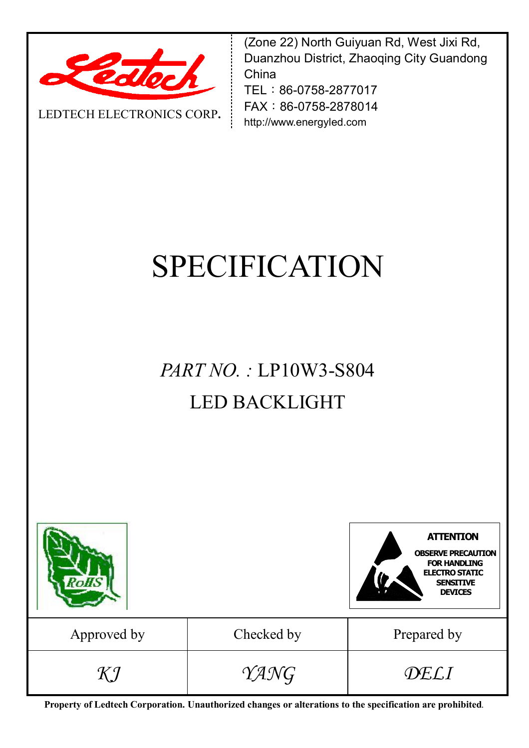

LEDTECH ELECTRONICS CORP**.**

(Zone 22) North Guiyuan Rd, West Jixi Rd, Duanzhou District, Zhaoqing City Guandong China

TEL:86-0758-2877017 FAX:86-0758-2878014 http://www.energyled.com

# SPECIFICATION

*PART NO. :* LP10W3-S804 LED BACKLIGHT



**Property of Ledtech Corporation. Unauthorized changes or alterations to the specification are prohibited***.*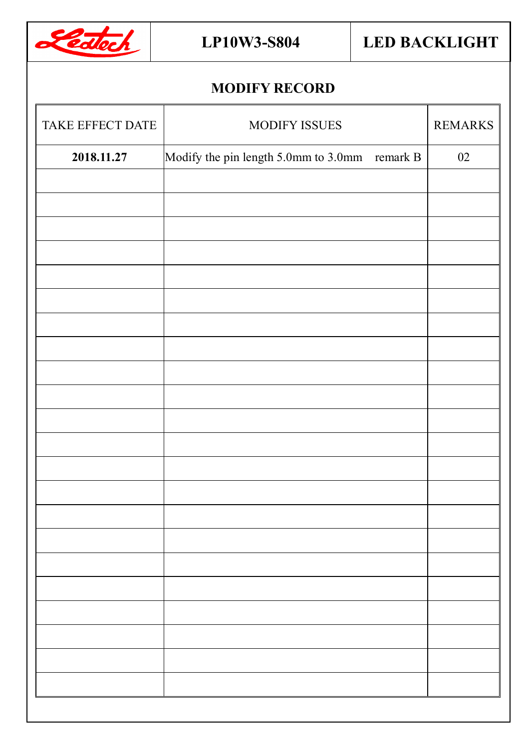

### **MODIFY RECORD**

| <b>TAKE EFFECT DATE</b> | <b>MODIFY ISSUES</b>                          | <b>REMARKS</b> |
|-------------------------|-----------------------------------------------|----------------|
| 2018.11.27              | Modify the pin length 5.0mm to 3.0mm remark B | 02             |
|                         |                                               |                |
|                         |                                               |                |
|                         |                                               |                |
|                         |                                               |                |
|                         |                                               |                |
|                         |                                               |                |
|                         |                                               |                |
|                         |                                               |                |
|                         |                                               |                |
|                         |                                               |                |
|                         |                                               |                |
|                         |                                               |                |
|                         |                                               |                |
|                         |                                               |                |
|                         |                                               |                |
|                         |                                               |                |
|                         |                                               |                |
|                         |                                               |                |
|                         |                                               |                |
|                         |                                               |                |
|                         |                                               |                |
|                         |                                               |                |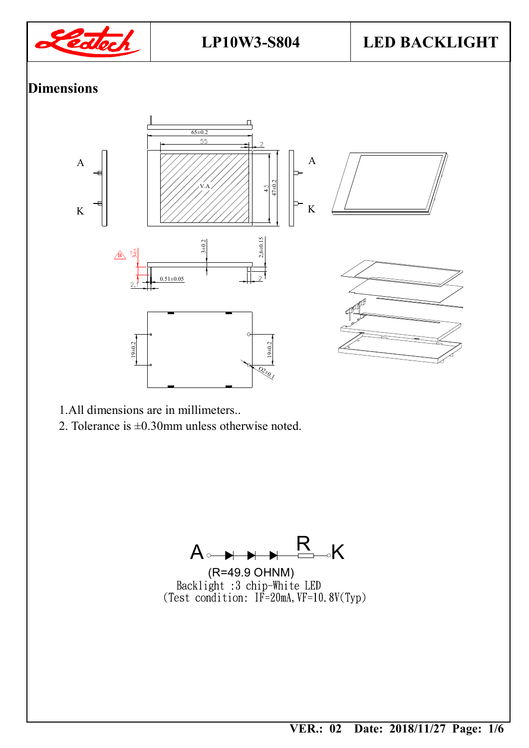

## **Dimensions**



- 1.All dimensions are in millimeters..
- 2. Tolerance is  $\pm 0.30$  mm unless otherwise noted.

 $A \rightarrow A \rightarrow R$ 

(R=49.9 OHNM)<br>Backlight :3 chip-White LED<br>(Test condition: IF=20mA, VF=10.8V(Typ)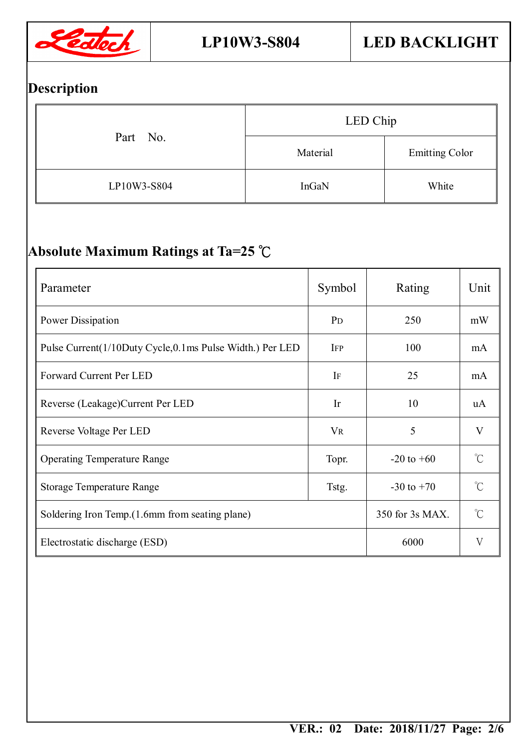

# **Description**

|             | LED Chip |                       |  |  |
|-------------|----------|-----------------------|--|--|
| Part No.    | Material | <b>Emitting Color</b> |  |  |
| LP10W3-S804 | InGaN    | White                 |  |  |

# **Absolute Maximum Ratings at Ta=25 ℃**

| Parameter                                                              | Symbol                | Rating              | Unit                |
|------------------------------------------------------------------------|-----------------------|---------------------|---------------------|
| Power Dissipation                                                      | P <sub>D</sub><br>250 |                     | mW                  |
| Pulse Current(1/10Duty Cycle,0.1ms Pulse Width.) Per LED<br><b>IFP</b> |                       | 100                 | mA                  |
| Forward Current Per LED                                                | IF                    | 25                  | mA                  |
| Reverse (Leakage) Current Per LED                                      | Ir                    | 10                  | uA                  |
| Reverse Voltage Per LED                                                | $V_{R}$               | 5                   | V                   |
| <b>Operating Temperature Range</b>                                     | Topr.                 | $-20$ to $+60$      | $^{\circ}C$         |
| <b>Storage Temperature Range</b><br>Tstg.                              |                       | $-30$ to $+70$      | $\int_{0}^{\infty}$ |
| Soldering Iron Temp. (1.6mm from seating plane)                        | 350 for 3s MAX.       | $\int_{0}^{\infty}$ |                     |
| Electrostatic discharge (ESD)                                          | 6000                  | V                   |                     |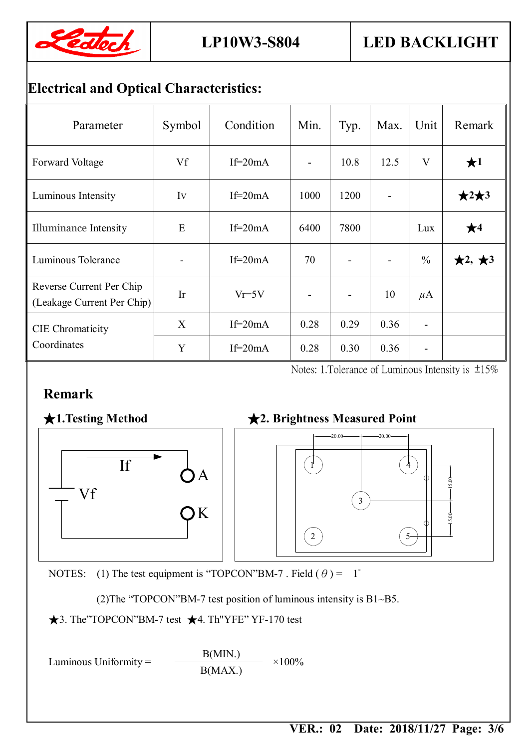

### **Electrical and Optical Characteristics:**

| Parameter                                              | Symbol | Condition  | Min. | Typ.                     | Max.           | Unit          | Remark               |
|--------------------------------------------------------|--------|------------|------|--------------------------|----------------|---------------|----------------------|
| Forward Voltage                                        | Vf     | If= $20mA$ |      | 10.8                     | 12.5           | V             | $\bigstar$ 1         |
| Luminous Intensity                                     | Iv     | If= $20mA$ | 1000 | 1200                     | ۰              |               | $\star 2\star 3$     |
| Illuminance Intensity                                  | E      | If= $20mA$ | 6400 | 7800                     |                | Lux           | $\bigstar$ 4         |
| Luminous Tolerance                                     |        | If= $20mA$ | 70   | $\overline{a}$           | $\blacksquare$ | $\frac{0}{0}$ | $\star$ 2, $\star$ 3 |
| Reverse Current Per Chip<br>(Leakage Current Per Chip) | Ir     | $Vr = 5V$  |      | $\overline{\phantom{a}}$ | 10             | $\mu$ A       |                      |
| <b>CIE</b> Chromaticity<br>Coordinates                 | X      | If= $20mA$ | 0.28 | 0.29                     | 0.36           |               |                      |
|                                                        | Y      | If= $20mA$ | 0.28 | 0.30                     | 0.36           |               |                      |

Notes: 1.Tolerance of Luminous Intensity is  $\pm 15\%$ 

#### **Remark**





#### **★1.Testing Method ★2. Brightness Measured Point**



NOTES: (1) The test equipment is "TOPCON"BM-7. Field  $(\theta) = 1^{\degree}$ 

(2)The "TOPCON"BM-7 test position of luminous intensity is B1~B5.

★3. The"TOPCON"BM-7 test ★4. Th"YFE" YF-170 test

Luminous Uniformity = B(MIN.)  $\times100\%$ B(MAX.)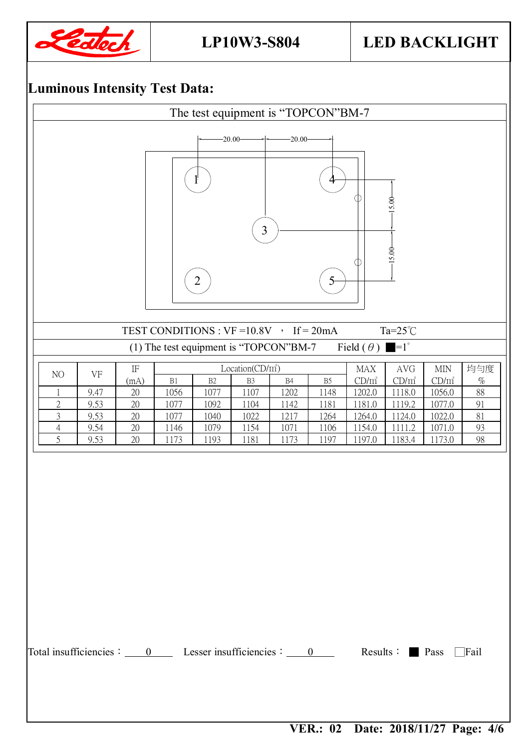

#### **Luminous Intensity Test Data:**

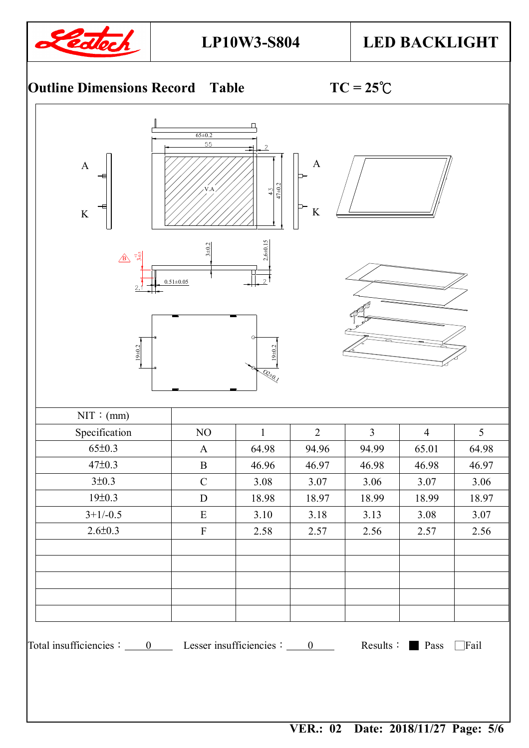